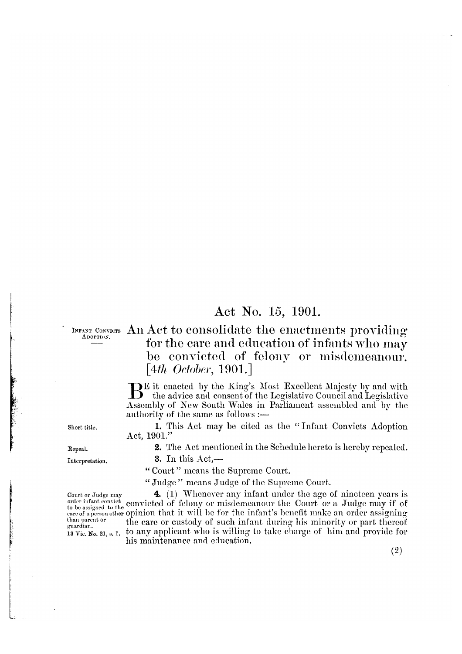## Act No. 15, 1901.

ADOPTION.

## INFANT CONVICTS An Act to consolidate the enactments providing for the care and education of infants who may be convicted of felony or misdemeanour.  $[4th$  October, 1901.

DE it enacted by the King's Most Excellent Majesty by and with B the advice and consent of the Legislative Council and Legislative Assembly of New South Wales in Parliament assembled and by the authority of the same as follows :-

1. This Act may be cited as the "Infant Convicts Adoption" Act, 1901."

2. The Act mentioned in the Schedule hereto is hereby repealed.

Repeal.

Short title.

3. In this  $Act$ ,-

"Court" means the Supreme Court.

"Judge" means Judge of the Supreme Court.

4. (1) Whenever any infant under the age of nincteen years is Court or Judge may order infant convicted of felony or misdemeanour the Court or a Judge may if of care of a person other opinion that it will be for the infant's benefit make an order assigning the care or custody of such infant during his minority or part thereof 13 Vie. No. 21, s. 1. to any applicant who is willing to take charge of him and provide for his maintenance and education.

Interpretation.

than parent or<br>guardian.

 $(2)$